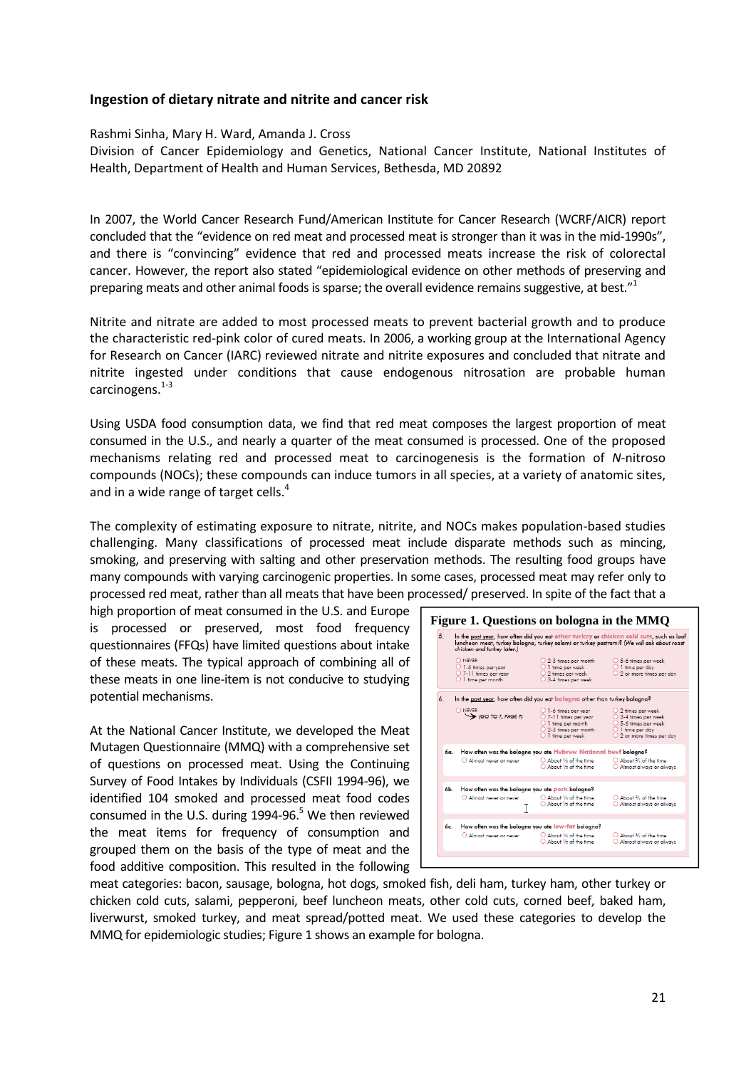## **Ingestion of dietary nitrate and nitrite and cancer risk**

## Rashmi Sinha, Mary H. Ward, Amanda J. Cross

Division of Cancer Epidemiology and Genetics, National Cancer Institute, National Institutes of Health, Department of Health and Human Services, Bethesda, MD 20892

In 2007, the World Cancer Research Fund/American Institute for Cancer Research (WCRF/AICR) report concluded that the "evidence on red meat and processed meat is stronger than it was in the mid‐1990s", and there is "convincing" evidence that red and processed meats increase the risk of colorectal cancer. However, the report also stated "epidemiological evidence on other methods of preserving and preparing meats and other animal foods is sparse; the overall evidence remains suggestive, at best." $1$ 

Nitrite and nitrate are added to most processed meats to prevent bacterial growth and to produce the characteristic red‐pink color of cured meats. In 2006, a working group at the International Agency for Research on Cancer (IARC) reviewed nitrate and nitrite exposures and concluded that nitrate and nitrite ingested under conditions that cause endogenous nitrosation are probable human carcinogens. $1-3$ 

Using USDA food consumption data, we find that red meat composes the largest proportion of meat consumed in the U.S., and nearly a quarter of the meat consumed is processed. One of the proposed mechanisms relating red and processed meat to carcinogenesis is the formation of *N*‐nitroso compounds (NOCs); these compounds can induce tumors in all species, at a variety of anatomic sites, and in a wide range of target cells.<sup>4</sup>

The complexity of estimating exposure to nitrate, nitrite, and NOCs makes population‐based studies challenging. Many classifications of processed meat include disparate methods such as mincing, smoking, and preserving with salting and other preservation methods. The resulting food groups have many compounds with varying carcinogenic properties. In some cases, processed meat may refer only to processed red meat, rather than all meats that have been processed/ preserved. In spite of the fact that a

high proportion of meat consumed in the U.S. and Europe is processed or preserved, most food frequency questionnaires (FFQs) have limited questions about intake of these meats. The typical approach of combining all of these meats in one line‐item is not conducive to studying potential mechanisms.

At the National Cancer Institute, we developed the Meat Mutagen Questionnaire (MMQ) with a comprehensive set of questions on processed meat. Using the Continuing Survey of Food Intakes by Individuals (CSFII 1994‐96), we identified 104 smoked and processed meat food codes consumed in the U.S. during 1994-96. $5$  We then reviewed the meat items for frequency of consumption and grouped them on the basis of the type of meat and the food additive composition. This resulted in the following

| 5.  | In the past year, how often did you eat other turkey or chicken cold cuts, such as loaf<br>luncheon meat, turkey bologna, turkey salami or turkey pastrami? (We will ask about roast<br>chicken and turkey later.) |                                                                                                                                                |                                                                                                                                                         |
|-----|--------------------------------------------------------------------------------------------------------------------------------------------------------------------------------------------------------------------|------------------------------------------------------------------------------------------------------------------------------------------------|---------------------------------------------------------------------------------------------------------------------------------------------------------|
|     | O NEVER<br>O 1-6 times per year<br>○ 7-11 times per vear<br>$\bigcirc$ 1 time per month                                                                                                                            | $\bigcirc$ 2-3 times per month<br>$\bigcirc$ 1 time per week<br>$\bigcirc$ 2 times per week<br>○ 3-4 times per week                            | $\bigcirc$ 5-6 times per week<br>$\bigcirc$ 1 time per day<br>$\bigcirc$ 2 or more times per day                                                        |
| 6.  | In the past year, how often did you eat bologna other than turkey bologna?                                                                                                                                         |                                                                                                                                                |                                                                                                                                                         |
|     | O NEVER<br>$\rightarrow$ (GO TO 7, PAGE 7)                                                                                                                                                                         | $\bigcirc$ 1-6 times per vear<br>$O$ 7-11 times per vear<br>$\bigcirc$ 1 time per month<br>$\bigcirc$ 2-3 times per month<br>O 1 time per week | $\bigcirc$ 2 times per week<br>○ 3-4 times per week<br>$\bigcirc$ 5-6 times per week<br>$\bigcirc$ 1 time per day<br>$\bigcirc$ 2 or more times per day |
| 6а. | Almost never or never                                                                                                                                                                                              | How often was the bologna you ate Hebrew National beef bologna?<br>About 1/4 of the time<br>About 16 of the time                               | About % of the time<br>O Almost always or always                                                                                                        |
| 6b. | How often was the bologna you ate pork bologna?<br>O Almost never or never                                                                                                                                         | About 1/4 of the time<br>About 1/2 of the time                                                                                                 | About % of the time<br>Almost always or always                                                                                                          |
| 6c. |                                                                                                                                                                                                                    | How often was the bologna you ate low-fat bologna?                                                                                             |                                                                                                                                                         |
|     | Almost never or never                                                                                                                                                                                              | About 1/4 of the time<br>About 16 of the time                                                                                                  | About 1/4 of the time<br>O Almost always or always                                                                                                      |

meat categories: bacon, sausage, bologna, hot dogs, smoked fish, deli ham, turkey ham, other turkey or chicken cold cuts, salami, pepperoni, beef luncheon meats, other cold cuts, corned beef, baked ham, liverwurst, smoked turkey, and meat spread/potted meat. We used these categories to develop the MMQ for epidemiologic studies; Figure 1 shows an example for bologna.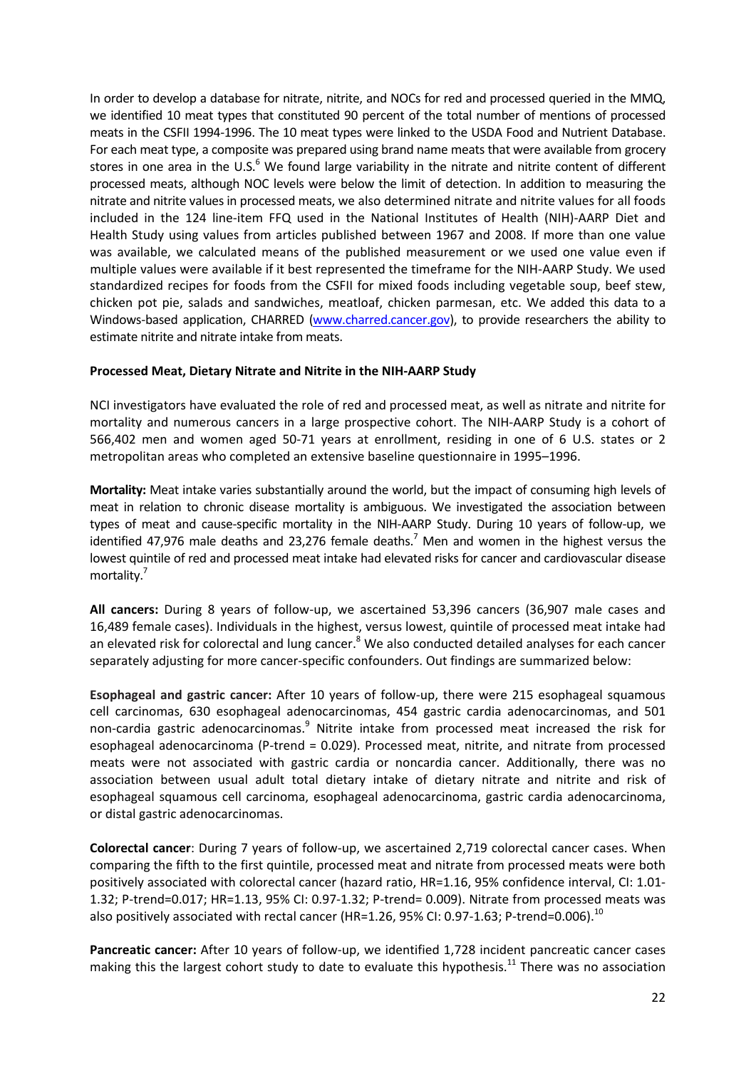In order to develop a database for nitrate, nitrite, and NOCs for red and processed queried in the MMQ, we identified 10 meat types that constituted 90 percent of the total number of mentions of processed meats in the CSFII 1994‐1996. The 10 meat types were linked to the USDA Food and Nutrient Database. For each meat type, a composite was prepared using brand name meats that were available from grocery stores in one area in the U.S. $<sup>6</sup>$  We found large variability in the nitrate and nitrite content of different</sup> processed meats, although NOC levels were below the limit of detection. In addition to measuring the nitrate and nitrite values in processed meats, we also determined nitrate and nitrite values for all foods included in the 124 line‐item FFQ used in the National Institutes of Health (NIH)‐AARP Diet and Health Study using values from articles published between 1967 and 2008. If more than one value was available, we calculated means of the published measurement or we used one value even if multiple values were available if it best represented the timeframe for the NIH‐AARP Study. We used standardized recipes for foods from the CSFII for mixed foods including vegetable soup, beef stew, chicken pot pie, salads and sandwiches, meatloaf, chicken parmesan, etc. We added this data to a Windows-based application, CHARRED (www.charred.cancer.gov), to provide researchers the ability to estimate nitrite and nitrate intake from meats.

## **Processed Meat, Dietary Nitrate and Nitrite in the NIH‐AARP Study**

NCI investigators have evaluated the role of red and processed meat, as well as nitrate and nitrite for mortality and numerous cancers in a large prospective cohort. The NIH‐AARP Study is a cohort of 566,402 men and women aged 50‐71 years at enrollment, residing in one of 6 U.S. states or 2 metropolitan areas who completed an extensive baseline questionnaire in 1995–1996.

**Mortality:** Meat intake varies substantially around the world, but the impact of consuming high levels of meat in relation to chronic disease mortality is ambiguous. We investigated the association between types of meat and cause‐specific mortality in the NIH‐AARP Study. During 10 years of follow‐up, we identified 47,976 male deaths and 23,276 female deaths.<sup>7</sup> Men and women in the highest versus the lowest quintile of red and processed meat intake had elevated risks for cancer and cardiovascular disease mortality.7

**All cancers:** During 8 years of follow‐up, we ascertained 53,396 cancers (36,907 male cases and 16,489 female cases). Individuals in the highest, versus lowest, quintile of processed meat intake had an elevated risk for colorectal and lung cancer.<sup>8</sup> We also conducted detailed analyses for each cancer separately adjusting for more cancer-specific confounders. Out findings are summarized below:

**Esophageal and gastric cancer:** After 10 years of follow‐up, there were 215 esophageal squamous cell carcinomas, 630 esophageal adenocarcinomas, 454 gastric cardia adenocarcinomas, and 501 non-cardia gastric adenocarcinomas.<sup>9</sup> Nitrite intake from processed meat increased the risk for esophageal adenocarcinoma (P*‐*trend = 0.029). Processed meat, nitrite, and nitrate from processed meats were not associated with gastric cardia or noncardia cancer. Additionally, there was no association between usual adult total dietary intake of dietary nitrate and nitrite and risk of esophageal squamous cell carcinoma, esophageal adenocarcinoma, gastric cardia adenocarcinoma, or distal gastric adenocarcinomas.

**Colorectal cancer**: During 7 years of follow‐up, we ascertained 2,719 colorectal cancer cases. When comparing the fifth to the first quintile, processed meat and nitrate from processed meats were both positively associated with colorectal cancer (hazard ratio, HR=1.16, 95% confidence interval, CI: 1.01‐ 1.32; P‐trend=0.017; HR=1.13, 95% CI: 0.97‐1.32; P‐trend= 0.009). Nitrate from processed meats was also positively associated with rectal cancer (HR=1.26, 95% CI: 0.97-1.63; P-trend=0.006).<sup>10</sup>

**Pancreatic cancer:** After 10 years of follow‐up, we identified 1,728 incident pancreatic cancer cases making this the largest cohort study to date to evaluate this hypothesis.<sup>11</sup> There was no association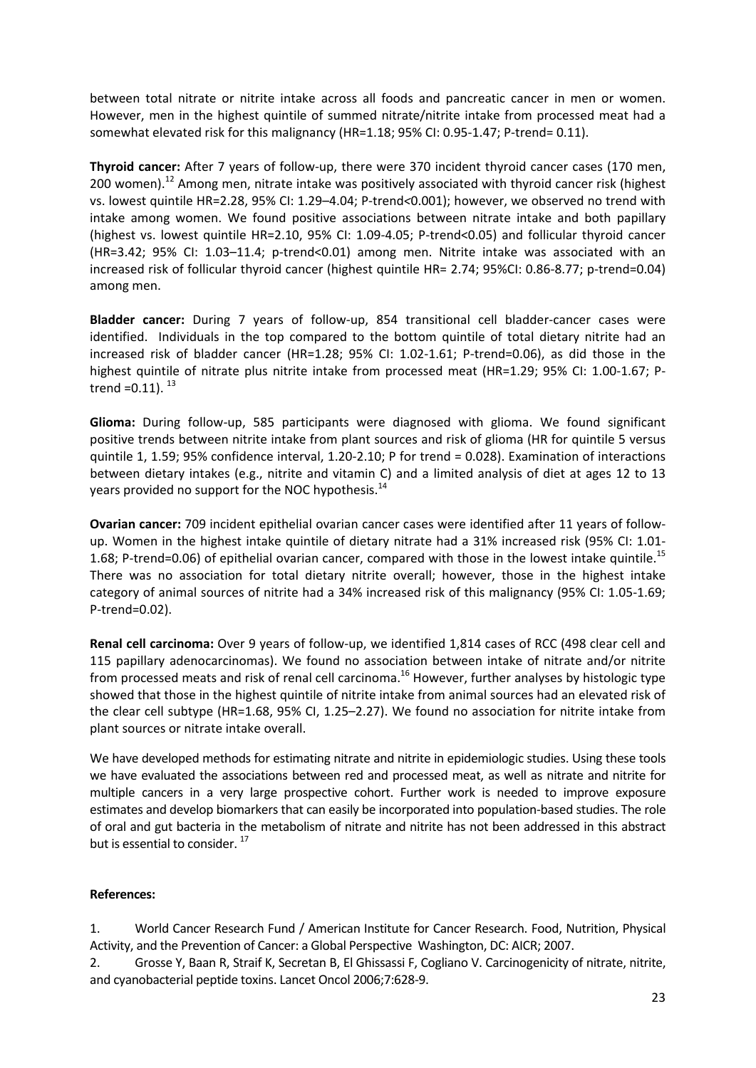between total nitrate or nitrite intake across all foods and pancreatic cancer in men or women. However, men in the highest quintile of summed nitrate/nitrite intake from processed meat had a somewhat elevated risk for this malignancy (HR=1.18; 95% CI: 0.95-1.47; P-trend= 0.11).

**Thyroid cancer:** After 7 years of follow‐up, there were 370 incident thyroid cancer cases (170 men, 200 women).<sup>12</sup> Among men, nitrate intake was positively associated with thyroid cancer risk (highest vs. lowest quintile HR=2.28, 95% CI: 1.29–4.04; P‐trend*<*0.001); however, we observed no trend with intake among women. We found positive associations between nitrate intake and both papillary (highest vs. lowest quintile HR=2.10, 95% CI: 1.09‐4.05; P‐trend<0.05) and follicular thyroid cancer (HR=3.42; 95% CI: 1.03–11.4; p‐trend<0.01) among men. Nitrite intake was associated with an increased risk of follicular thyroid cancer (highest quintile HR= 2.74; 95%CI: 0.86‐8.77; p‐trend=0.04) among men.

**Bladder cancer:** During 7 years of follow‐up, 854 transitional cell bladder‐cancer cases were identified. Individuals in the top compared to the bottom quintile of total dietary nitrite had an increased risk of bladder cancer (HR=1.28; 95% CI: 1.02‐1.61; P‐trend=0.06), as did those in the highest quintile of nitrate plus nitrite intake from processed meat (HR=1.29; 95% CI: 1.00-1.67; Ptrend =  $0.11$ ).  $^{13}$ 

**Glioma:** During follow‐up, 585 participants were diagnosed with glioma. We found significant positive trends between nitrite intake from plant sources and risk of glioma (HR for quintile 5 versus quintile 1, 1.59; 95% confidence interval, 1.20-2.10; P for trend = 0.028). Examination of interactions between dietary intakes (e.g., nitrite and vitamin C) and a limited analysis of diet at ages 12 to 13 years provided no support for the NOC hypothesis.<sup>14</sup>

**Ovarian cancer:** 709 incident epithelial ovarian cancer cases were identified after 11 years of follow‐ up. Women in the highest intake quintile of dietary nitrate had a 31% increased risk (95% CI: 1.01‐ 1.68; P-trend=0.06) of epithelial ovarian cancer, compared with those in the lowest intake quintile.<sup>15</sup> There was no association for total dietary nitrite overall; however, those in the highest intake category of animal sources of nitrite had a 34% increased risk of this malignancy (95% CI: 1.05‐1.69; P‐trend=0.02).

**Renal cell carcinoma:** Over 9 years of follow‐up, we identified 1,814 cases of RCC (498 clear cell and 115 papillary adenocarcinomas). We found no association between intake of nitrate and/or nitrite from processed meats and risk of renal cell carcinoma.<sup>16</sup> However, further analyses by histologic type showed that those in the highest quintile of nitrite intake from animal sources had an elevated risk of the clear cell subtype (HR=1.68, 95% CI, 1.25–2.27). We found no association for nitrite intake from plant sources or nitrate intake overall.

We have developed methods for estimating nitrate and nitrite in epidemiologic studies. Using these tools we have evaluated the associations between red and processed meat, as well as nitrate and nitrite for multiple cancers in a very large prospective cohort. Further work is needed to improve exposure estimates and develop biomarkers that can easily be incorporated into population‐based studies. The role of oral and gut bacteria in the metabolism of nitrate and nitrite has not been addressed in this abstract but is essential to consider.<sup>17</sup>

## **References:**

1. World Cancer Research Fund / American Institute for Cancer Research. Food, Nutrition, Physical Activity, and the Prevention of Cancer: a Global Perspective Washington, DC: AICR; 2007.

2. Grosse Y, Baan R, Straif K, Secretan B, El Ghissassi F, Cogliano V. Carcinogenicity of nitrate, nitrite, and cyanobacterial peptide toxins. Lancet Oncol 2006;7:628‐9.